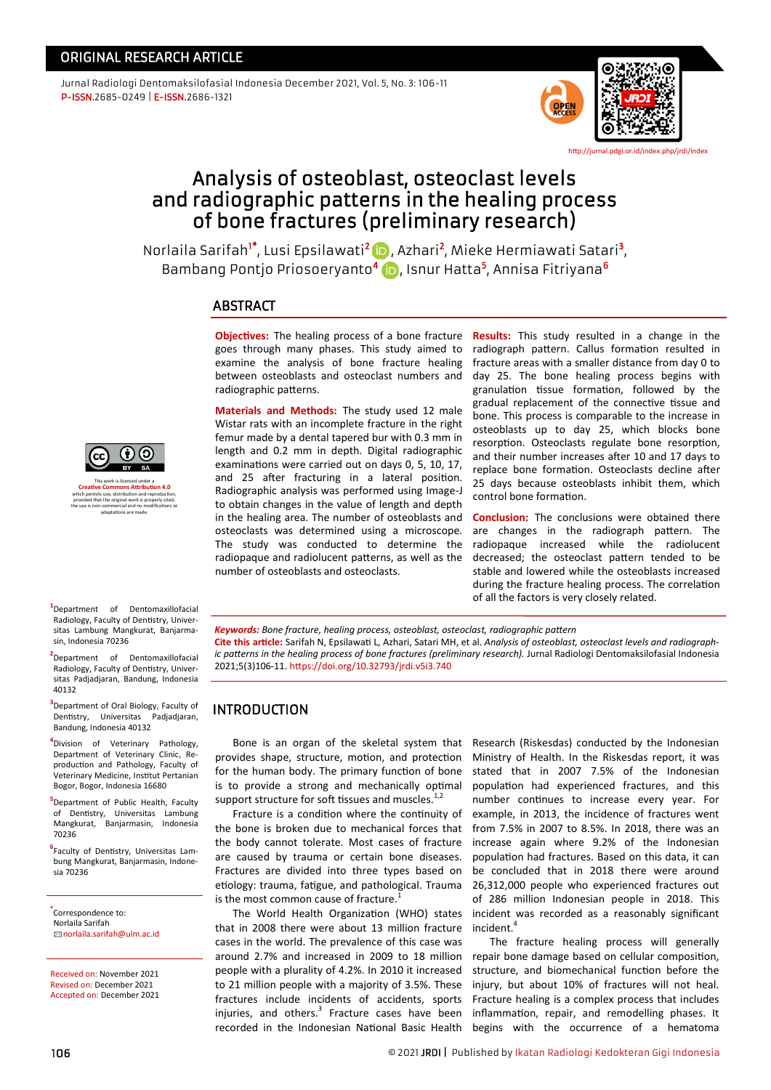Jurnal Radiologi Dentomaksilofasial Indonesia December 2021, Vol. 5, No. 3: 106-11 P-ISSN.2685-0249 | E-ISSN.2686-1321



<http://jurnal.pdgi.or.id/index.php/jrdi/index>

# Analysis of osteoblast, osteoclast levels and radiographic patterns in the healing process of bone fractures (preliminary research)

NorlailaSarifah<sup>i\*</sup>, Lusi Epsilawati<sup>2</sup> (D), Azhari<sup>2</sup>, Mieke Hermiawati Satari<sup>3</sup>, Bambang Pontjo Priosoeryanto<sup>4</sup> (D, Isnur Hatta<sup>5</sup>, Annisa Fitriyana<sup>6</sup>

## **ABSTRACT**

**Objectives:** The healing process of a bone fracture goes through many phases. This study aimed to examine the analysis of bone fracture healing between osteoblasts and osteoclast numbers and radiographic patterns.

**Materials and Methods:** The study used 12 male Wistar rats with an incomplete fracture in the right femur made by a dental tapered bur with 0.3 mm in length and 0.2 mm in depth. Digital radiographic examinations were carried out on days 0, 5, 10, 17, and 25 after fracturing in a lateral position. Radiographic analysis was performed using Image-J to obtain changes in the value of length and depth in the healing area. The number of osteoblasts and osteoclasts was determined using a microscope. The study was conducted to determine the radiopaque and radiolucent patterns, as well as the number of osteoblasts and osteoclasts.

**Results:** This study resulted in a change in the radiograph pattern. Callus formation resulted in fracture areas with a smaller distance from day 0 to day 25. The bone healing process begins with granulation tissue formation, followed by the gradual replacement of the connective tissue and bone. This process is comparable to the increase in osteoblasts up to day 25, which blocks bone resorption. Osteoclasts regulate bone resorption, and their number increases after 10 and 17 days to replace bone formation. Osteoclasts decline after 25 days because osteoblasts inhibit them, which control bone formation.

**Conclusion:** The conclusions were obtained there are changes in the radiograph pattern. The radiopaque increased while the radiolucent decreased; the osteoclast pattern tended to be stable and lowered while the osteoblasts increased during the fracture healing process. The correlation of all the factors is very closely related.

*Keywords: Bone fracture, healing process, osteoblast, osteoclast, radiographic pattern*

**Cite this article:** Sarifah N, Epsilawati L, Azhari, Satari MH, et al. *Analysis of osteoblast, osteoclast levels and radiographic patterns in the healing process of bone fractures (preliminary research).* Jurnal Radiologi Dentomaksilofasial Indonesia 2021;5(3)106-11. <https://doi.org/10.32793/jrdi.v5i3.740>

## INTRODUCTION

Bone is an organ of the skeletal system that provides shape, structure, motion, and protection for the human body. The primary function of bone is to provide a strong and mechanically optimal support structure for soft tissues and muscles.<sup>1,2</sup>

Fracture is a condition where the continuity of the bone is broken due to mechanical forces that the body cannot tolerate. Most cases of fracture are caused by trauma or certain bone diseases. Fractures are divided into three types based on etiology: trauma, fatigue, and pathological. Trauma is the most common cause of fracture.<sup>1</sup>

The World Health Organization (WHO) states that in 2008 there were about 13 million fracture cases in the world. The prevalence of this case was around 2.7% and increased in 2009 to 18 million people with a plurality of 4.2%. In 2010 it increased to 21 million people with a majority of 3.5%. These fractures include incidents of accidents, sports injuries, and others.<sup>3</sup> Fracture cases have been recorded in the Indonesian National Basic Health

Research (Riskesdas) conducted by the Indonesian Ministry of Health. In the Riskesdas report, it was stated that in 2007 7.5% of the Indonesian population had experienced fractures, and this number continues to increase every year. For example, in 2013, the incidence of fractures went from 7.5% in 2007 to 8.5%. In 2018, there was an increase again where 9.2% of the Indonesian population had fractures. Based on this data, it can be concluded that in 2018 there were around 26,312,000 people who experienced fractures out of 286 million Indonesian people in 2018. This incident was recorded as a reasonably significant incident.<sup>4</sup>

The fracture healing process will generally repair bone damage based on cellular composition, structure, and biomechanical function before the injury, but about 10% of fractures will not heal. Fracture healing is a complex process that includes inflammation, repair, and remodelling phases. It begins with the occurrence of a hematoma



This work is licensed under a **[Creative Commons Attribution 4.0](https://creativecommons.org/licenses/by-nc-nd/4.0/)** which permits use, distribution and reproduction, provided that the original work is properly cited, the use is non-commercial and no modifications or adaptations are made.

**1** Department of Dentomaxillofacial Radiology, Faculty of Dentistry, Universitas Lambung Mangkurat, Banjarmasin, Indonesia 70236

**2** Department of Dentomaxillofacial Radiology, Faculty of Dentistry, Universitas Padjadjaran, Bandung, Indonesia 40132

**3** Department of Oral Biology, Faculty of Dentistry, Universitas Padjadjaran, Bandung, Indonesia 40132

**4** Division of Veterinary Pathology, Department of Veterinary Clinic, Reproduction and Pathology, Faculty of Veterinary Medicine, Institut Pertanian Bogor, Bogor, Indonesia 16680

**5** Department of Public Health, Faculty of Dentistry, Universitas Lambung Mangkurat, Banjarmasin, Indonesia 70236

**6** Faculty of Dentistry, Universitas Lambung Mangkurat, Banjarmasin, Indonesia 70236

**\*** Correspondence to: Norlaila Sarifah ✉ [norlaila.sarifah@ulm.ac.id](mailto:norlaila.sarifah@ulm.ac.id)

Received on: November 2021 Revised on: December 2021 Accepted on: December 2021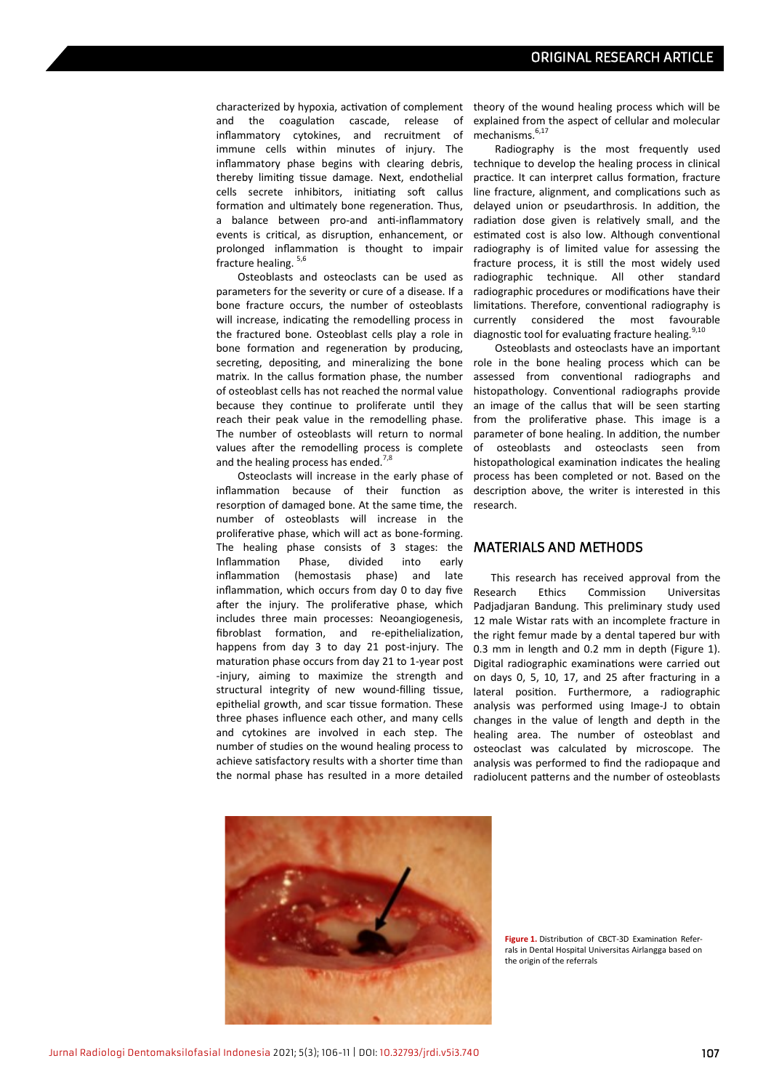characterized by hypoxia, activation of complement theory of the wound healing process which will be and the coagulation cascade, release of inflammatory cytokines, and recruitment of immune cells within minutes of injury. The inflammatory phase begins with clearing debris, thereby limiting tissue damage. Next, endothelial cells secrete inhibitors, initiating soft callus formation and ultimately bone regeneration. Thus, a balance between pro-and anti-inflammatory events is critical, as disruption, enhancement, or prolonged inflammation is thought to impair fracture healing. 5,6

Osteoblasts and osteoclasts can be used as parameters for the severity or cure of a disease. If a bone fracture occurs, the number of osteoblasts will increase, indicating the remodelling process in the fractured bone. Osteoblast cells play a role in bone formation and regeneration by producing, secreting, depositing, and mineralizing the bone matrix. In the callus formation phase, the number of osteoblast cells has not reached the normal value because they continue to proliferate until they reach their peak value in the remodelling phase. The number of osteoblasts will return to normal values after the remodelling process is complete and the healing process has ended.<sup>7,8</sup>

Osteoclasts will increase in the early phase of inflammation because of their function as resorption of damaged bone. At the same time, the number of osteoblasts will increase in the proliferative phase, which will act as bone-forming. The healing phase consists of 3 stages: the Inflammation Phase, divided into early inflammation (hemostasis phase) and late inflammation, which occurs from day 0 to day five after the injury. The proliferative phase, which includes three main processes: Neoangiogenesis, fibroblast formation, and re-epithelialization, happens from day 3 to day 21 post-injury. The maturation phase occurs from day 21 to 1-year post -injury, aiming to maximize the strength and structural integrity of new wound-filling tissue, epithelial growth, and scar tissue formation. These three phases influence each other, and many cells and cytokines are involved in each step. The number of studies on the wound healing process to achieve satisfactory results with a shorter time than the normal phase has resulted in a more detailed

explained from the aspect of cellular and molecular mechanisms.<sup>6,17</sup>

Radiography is the most frequently used technique to develop the healing process in clinical practice. It can interpret callus formation, fracture line fracture, alignment, and complications such as delayed union or pseudarthrosis. In addition, the radiation dose given is relatively small, and the estimated cost is also low. Although conventional radiography is of limited value for assessing the fracture process, it is still the most widely used radiographic technique. All other standard radiographic procedures or modifications have their limitations. Therefore, conventional radiography is currently considered the most favourable diagnostic tool for evaluating fracture healing.<sup>9,10</sup>

Osteoblasts and osteoclasts have an important role in the bone healing process which can be assessed from conventional radiographs and histopathology. Conventional radiographs provide an image of the callus that will be seen starting from the proliferative phase. This image is a parameter of bone healing. In addition, the number of osteoblasts and osteoclasts seen from histopathological examination indicates the healing process has been completed or not. Based on the description above, the writer is interested in this research.

#### MATERIALS AND METHODS

This research has received approval from the Research Ethics Commission Universitas Padjadjaran Bandung. This preliminary study used 12 male Wistar rats with an incomplete fracture in the right femur made by a dental tapered bur with 0.3 mm in length and 0.2 mm in depth (Figure 1). Digital radiographic examinations were carried out on days 0, 5, 10, 17, and 25 after fracturing in a lateral position. Furthermore, a radiographic analysis was performed using Image-J to obtain changes in the value of length and depth in the healing area. The number of osteoblast and osteoclast was calculated by microscope. The analysis was performed to find the radiopaque and radiolucent patterns and the number of osteoblasts



**Figure 1.** Distribution of CBCT-3D Examination Referrals in Dental Hospital Universitas Airlangga based on the origin of the referrals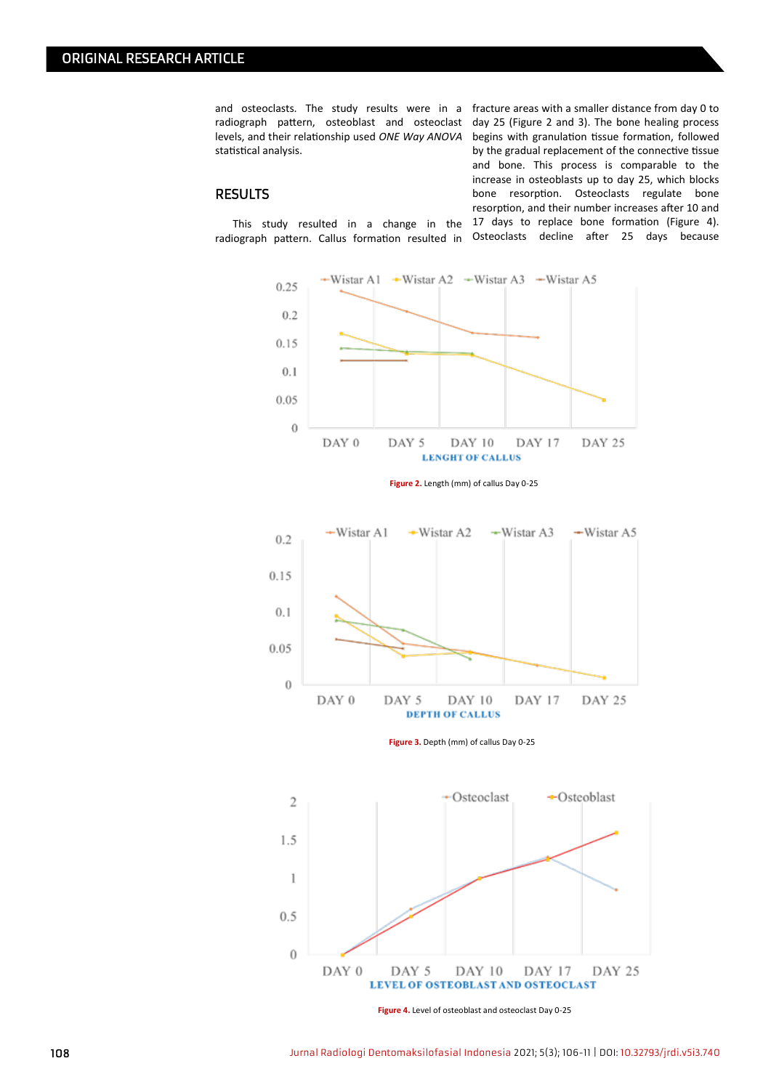and osteoclasts. The study results were in a fracture areas with a smaller distance from day 0 to radiograph pattern, osteoblast and osteoclast day 25 (Figure 2 and 3). The bone healing process levels, and their relationship used *ONE Way ANOVA* begins with granulation tissue formation, followed statistical analysis.

RESULTS

This study resulted in a change in the 17 days to replace bone formation (Figure 4). by the gradual replacement of the connective tissue and bone. This process is comparable to the increase in osteoblasts up to day 25, which blocks bone resorption. Osteoclasts regulate bone resorption, and their number increases after 10 and

radiograph pattern. Callus formation resulted in Osteoclasts decline after 25 days because



**Figure 2.** Length (mm) of callus Day 0-25



**Figure 3.** Depth (mm) of callus Day 0-25



**Figure 4.** Level of osteoblast and osteoclast Day 0-25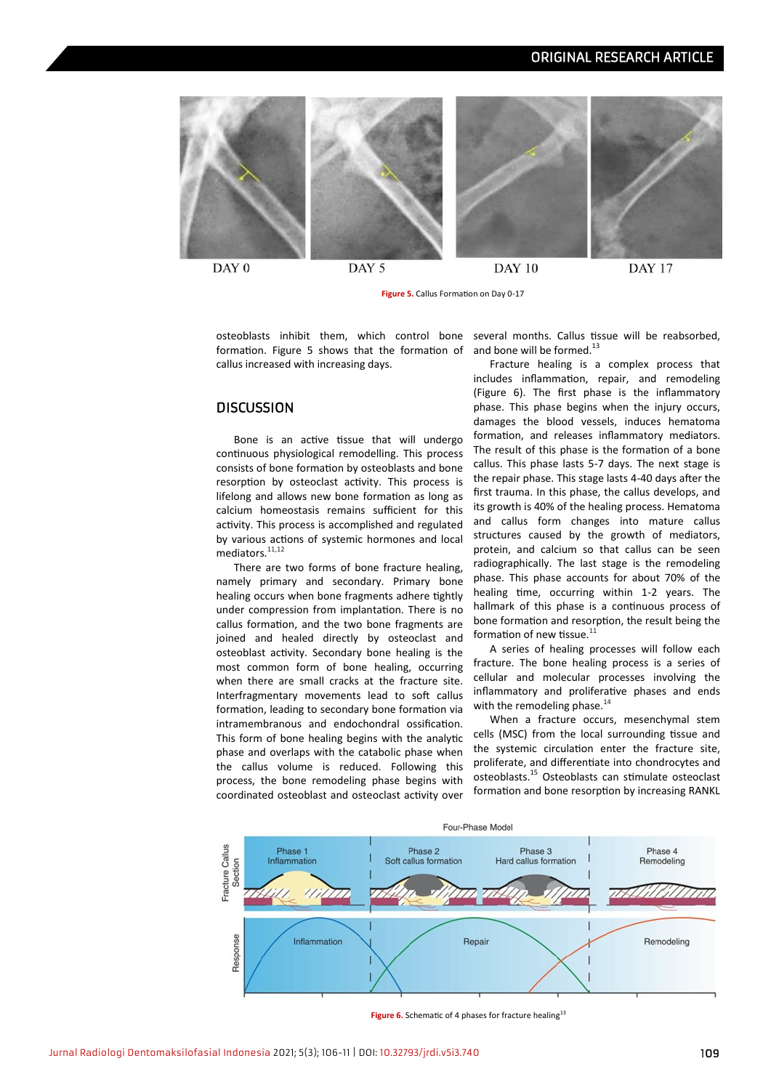## ORIGINAL RESEARCH ARTICLE



DAY 0

DAY 5

**Figure 5.** Callus Formation on Day 0-17

osteoblasts inhibit them, which control bone several months. Callus tissue will be reabsorbed,

and bone will be formed.<sup>13</sup>

formation. Figure 5 shows that the formation of callus increased with increasing days.

### **DISCUSSION**

Bone is an active tissue that will undergo continuous physiological remodelling. This process consists of bone formation by osteoblasts and bone resorption by osteoclast activity. This process is lifelong and allows new bone formation as long as calcium homeostasis remains sufficient for this activity. This process is accomplished and regulated by various actions of systemic hormones and local mediators.<sup>11,12</sup>

There are two forms of bone fracture healing, namely primary and secondary. Primary bone healing occurs when bone fragments adhere tightly under compression from implantation. There is no callus formation, and the two bone fragments are joined and healed directly by osteoclast and osteoblast activity. Secondary bone healing is the most common form of bone healing, occurring when there are small cracks at the fracture site. Interfragmentary movements lead to soft callus formation, leading to secondary bone formation via intramembranous and endochondral ossification. This form of bone healing begins with the analytic phase and overlaps with the catabolic phase when the callus volume is reduced. Following this process, the bone remodeling phase begins with coordinated osteoblast and osteoclast activity over

Fracture healing is a complex process that includes inflammation, repair, and remodeling (Figure 6). The first phase is the inflammatory phase. This phase begins when the injury occurs, damages the blood vessels, induces hematoma formation, and releases inflammatory mediators. The result of this phase is the formation of a bone callus. This phase lasts 5-7 days. The next stage is the repair phase. This stage lasts 4-40 days after the first trauma. In this phase, the callus develops, and its growth is 40% of the healing process. Hematoma and callus form changes into mature callus structures caused by the growth of mediators, protein, and calcium so that callus can be seen radiographically. The last stage is the remodeling phase. This phase accounts for about 70% of the healing time, occurring within 1-2 years. The hallmark of this phase is a continuous process of bone formation and resorption, the result being the formation of new tissue. $1$ 

A series of healing processes will follow each fracture. The bone healing process is a series of cellular and molecular processes involving the inflammatory and proliferative phases and ends with the remodeling phase. $^{14}$ 

When a fracture occurs, mesenchymal stem cells (MSC) from the local surrounding tissue and the systemic circulation enter the fracture site, proliferate, and differentiate into chondrocytes and osteoblasts.<sup>15</sup> Osteoblasts can stimulate osteoclast formation and bone resorption by increasing RANKL



Figure 6. Schematic of 4 phases for fracture healing<sup>13</sup>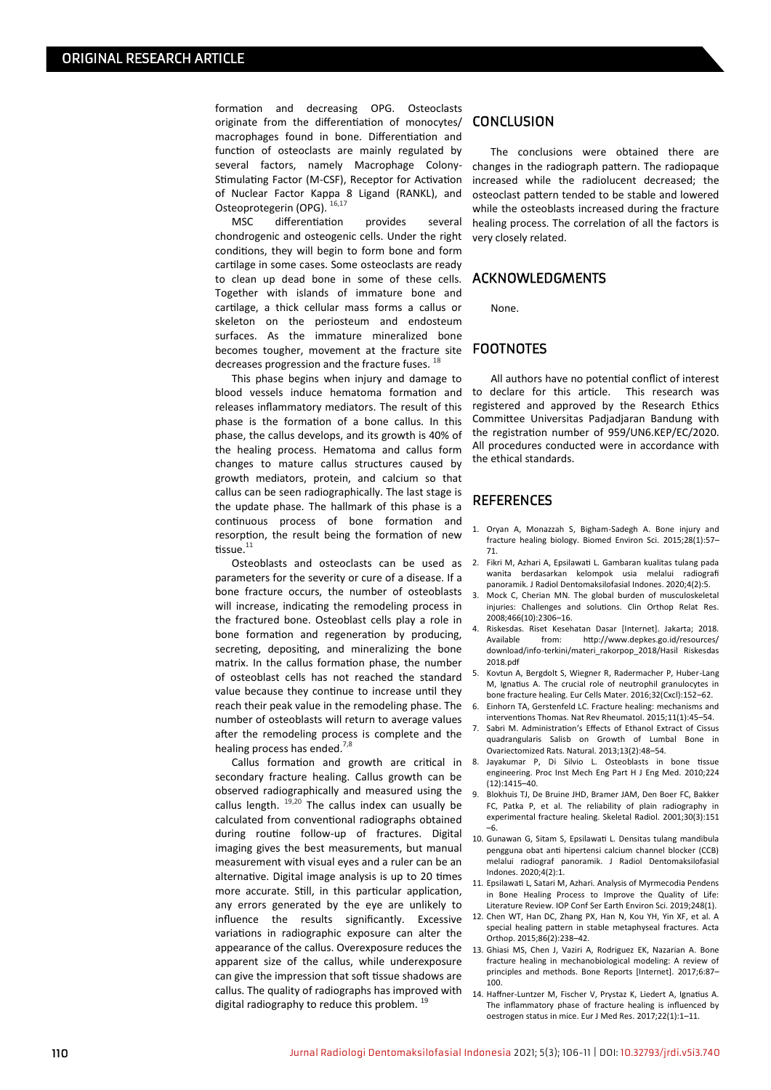formation and decreasing OPG. Osteoclasts originate from the differentiation of monocytes/ macrophages found in bone. Differentiation and function of osteoclasts are mainly regulated by several factors, namely Macrophage Colony-Stimulating Factor (M-CSF), Receptor for Activation of Nuclear Factor Kappa 8 Ligand (RANKL), and Osteoprotegerin (OPG). 16,17

MSC differentiation provides several chondrogenic and osteogenic cells. Under the right conditions, they will begin to form bone and form cartilage in some cases. Some osteoclasts are ready to clean up dead bone in some of these cells. Together with islands of immature bone and cartilage, a thick cellular mass forms a callus or skeleton on the periosteum and endosteum surfaces. As the immature mineralized bone becomes tougher, movement at the fracture site decreases progression and the fracture fuses.  $^{18}$ 

This phase begins when injury and damage to blood vessels induce hematoma formation and releases inflammatory mediators. The result of this phase is the formation of a bone callus. In this phase, the callus develops, and its growth is 40% of the healing process. Hematoma and callus form changes to mature callus structures caused by growth mediators, protein, and calcium so that callus can be seen radiographically. The last stage is the update phase. The hallmark of this phase is a continuous process of bone formation and resorption, the result being the formation of new tissue.<sup>11</sup>

Osteoblasts and osteoclasts can be used as parameters for the severity or cure of a disease. If a bone fracture occurs, the number of osteoblasts will increase, indicating the remodeling process in the fractured bone. Osteoblast cells play a role in bone formation and regeneration by producing, secreting, depositing, and mineralizing the bone matrix. In the callus formation phase, the number of osteoblast cells has not reached the standard value because they continue to increase until they reach their peak value in the remodeling phase. The number of osteoblasts will return to average values after the remodeling process is complete and the healing process has ended.<sup>7,8</sup>

Callus formation and growth are critical in secondary fracture healing. Callus growth can be observed radiographically and measured using the callus length.  $19,20$  The callus index can usually be calculated from conventional radiographs obtained during routine follow-up of fractures. Digital imaging gives the best measurements, but manual measurement with visual eyes and a ruler can be an alternative. Digital image analysis is up to 20 times more accurate. Still, in this particular application, any errors generated by the eye are unlikely to influence the results significantly. Excessive variations in radiographic exposure can alter the appearance of the callus. Overexposure reduces the apparent size of the callus, while underexposure can give the impression that soft tissue shadows are callus. The quality of radiographs has improved with digital radiography to reduce this problem.<sup>19</sup>

## **CONCLUSION**

The conclusions were obtained there are changes in the radiograph pattern. The radiopaque increased while the radiolucent decreased; the osteoclast pattern tended to be stable and lowered while the osteoblasts increased during the fracture healing process. The correlation of all the factors is very closely related.

#### ACKNOWLEDGMENTS

None.

#### FOOTNOTES

All authors have no potential conflict of interest to declare for this article. This research was registered and approved by the Research Ethics Committee Universitas Padjadjaran Bandung with the registration number of 959/UN6.KEP/EC/2020. All procedures conducted were in accordance with the ethical standards.

#### **REFERENCES**

- 1. Oryan A, Monazzah S, Bigham-Sadegh A. Bone injury and fracture healing biology. Biomed Environ Sci. 2015;28(1):57– 71.
- 2. Fikri M, Azhari A, Epsilawati L. Gambaran kualitas tulang pada wanita berdasarkan kelompok usia melalui radiografi panoramik. J Radiol Dentomaksilofasial Indones. 2020;4(2):5.
- Mock C, Cherian MN. The global burden of musculoskeletal injuries: Challenges and solutions. Clin Orthop Relat Res. 2008;466(10):2306–16.
- Riskesdas. Riset Kesehatan Dasar [Internet]. Jakarta; 2018.<br>Available from: http://www.denkes.go.id/resources/ from: http://www.depkes.go.id/resources/ download/info-terkini/materi\_rakorpop\_2018/Hasil Riskesdas 2018.pdf
- 5. Kovtun A, Bergdolt S, Wiegner R, Radermacher P, Huber-Lang M, Ignatius A. The crucial role of neutrophil granulocytes in bone fracture healing. Eur Cells Mater. 2016;32(Cxcl):152–62.
- 6. Einhorn TA, Gerstenfeld LC. Fracture healing: mechanisms and interventions Thomas. Nat Rev Rheumatol. 2015;11(1):45–54.
- 7. Sabri M. Administration's Effects of Ethanol Extract of Cissus quadrangularis Salisb on Growth of Lumbal Bone in Ovariectomized Rats. Natural. 2013;13(2):48–54.
- Jayakumar P. Di Silvio L. Osteoblasts in bone tissue engineering. Proc Inst Mech Eng Part H J Eng Med. 2010;224 (12):1415–40.
- 9. Blokhuis TJ, De Bruine JHD, Bramer JAM, Den Boer FC, Bakker FC, Patka P, et al. The reliability of plain radiography in experimental fracture healing. Skeletal Radiol. 2001;30(3):151 –6.
- 10. Gunawan G, Sitam S, Epsilawati L. Densitas tulang mandibula pengguna obat anti hipertensi calcium channel blocker (CCB) melalui radiograf panoramik. J Radiol Dentomaksilofasial Indones. 2020;4(2):1.
- 11. Epsilawati L, Satari M, Azhari. Analysis of Myrmecodia Pendens in Bone Healing Process to Improve the Quality of Life: Literature Review. IOP Conf Ser Earth Environ Sci. 2019;248(1).
- 12. Chen WT, Han DC, Zhang PX, Han N, Kou YH, Yin XF, et al. A special healing pattern in stable metaphyseal fractures. Acta Orthop. 2015;86(2):238–42.
- 13. Ghiasi MS, Chen J, Vaziri A, Rodriguez EK, Nazarian A. Bone fracture healing in mechanobiological modeling: A review of principles and methods. Bone Reports [Internet]. 2017;6:87– 100.
- 14. Haffner-Luntzer M, Fischer V, Prystaz K, Liedert A, Ignatius A. The inflammatory phase of fracture healing is influenced by oestrogen status in mice. Eur J Med Res. 2017;22(1):1–11.